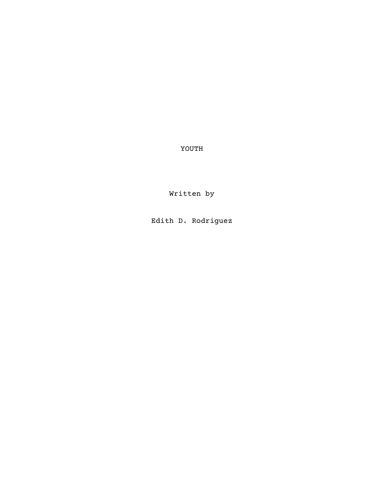YOUTH

Written by

Edith D. Rodriguez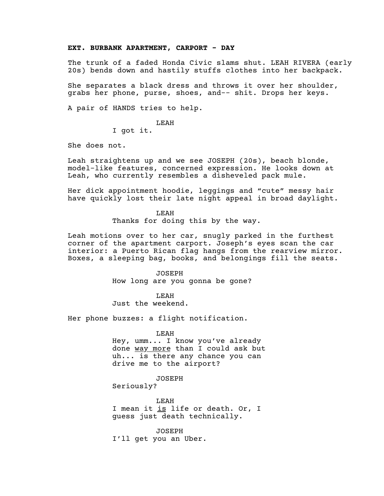#### **EXT. BURBANK APARTMENT, CARPORT - DAY**

The trunk of a faded Honda Civic slams shut. LEAH RIVERA (early 20s) bends down and hastily stuffs clothes into her backpack.

She separates a black dress and throws it over her shoulder, grabs her phone, purse, shoes, and-- shit. Drops her keys.

A pair of HANDS tries to help.

LEAH

I got it.

She does not.

Leah straightens up and we see JOSEPH (20s), beach blonde, model-like features, concerned expression. He looks down at Leah, who currently resembles a disheveled pack mule.

Her dick appointment hoodie, leggings and "cute" messy hair have quickly lost their late night appeal in broad daylight.

LEAH

Thanks for doing this by the way.

Leah motions over to her car, snugly parked in the furthest corner of the apartment carport. Joseph's eyes scan the car interior: a Puerto Rican flag hangs from the rearview mirror. Boxes, a sleeping bag, books, and belongings fill the seats.

> JOSEPH How long are you gonna be gone?

> > LEAH

Just the weekend.

Her phone buzzes: a flight notification.

LEAH

Hey, umm... I know you've already done way more than I could ask but uh... is there any chance you can drive me to the airport?

JOSEPH

Seriously?

LEAH I mean it <u>is</u> life or death. Or, I guess just death technically.

JOSEPH I'll get you an Uber.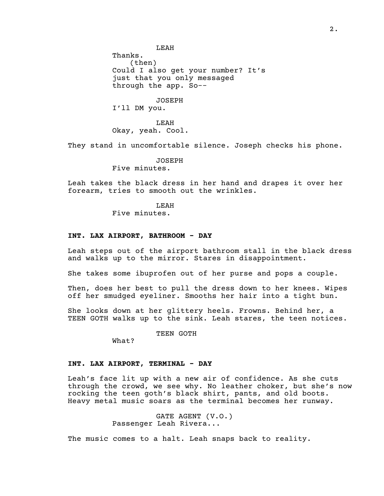LEAH Thanks. (then) Could I also get your number? It's just that you only messaged through the app. So--

JOSEPH I'll DM you.

LEAH Okay, yeah. Cool.

They stand in uncomfortable silence. Joseph checks his phone.

JOSEPH Five minutes.

Leah takes the black dress in her hand and drapes it over her forearm, tries to smooth out the wrinkles.

> LEAH Five minutes.

## **INT. LAX AIRPORT, BATHROOM - DAY**

Leah steps out of the airport bathroom stall in the black dress and walks up to the mirror. Stares in disappointment.

She takes some ibuprofen out of her purse and pops a couple.

Then, does her best to pull the dress down to her knees. Wipes off her smudged eyeliner. Smooths her hair into a tight bun.

She looks down at her glittery heels. Frowns. Behind her, a TEEN GOTH walks up to the sink. Leah stares, the teen notices.

TEEN GOTH

What?

### **INT. LAX AIRPORT, TERMINAL - DAY**

Leah's face lit up with a new air of confidence. As she cuts through the crowd, we see why. No leather choker, but she's now rocking the teen goth's black shirt, pants, and old boots. Heavy metal music soars as the terminal becomes her runway.

> GATE AGENT (V.O.) Passenger Leah Rivera...

The music comes to a halt. Leah snaps back to reality.